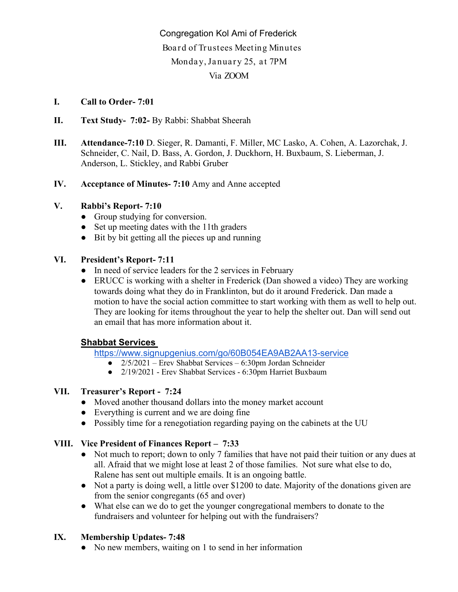Congregation Kol Ami of Frederick Board of Trustees Meeting Minutes Monday, January 25, at 7PM Via ZOOM

### **I. Call to Order- 7:01**

- **II. Text Study- 7:02-** By Rabbi: Shabbat Sheerah
- **III. Attendance-7:10** D. Sieger, R. Damanti, F. Miller, MC Lasko, A. Cohen, A. Lazorchak, J. Schneider, C. Nail, D. Bass, A. Gordon, J. Duckhorn, H. Buxbaum, S. Lieberman, J. Anderson, L. Stickley, and Rabbi Gruber
- **IV. Acceptance of Minutes- 7:10** Amy and Anne accepted

### **V. Rabbi's Report- 7:10**

- Group studying for conversion.
- Set up meeting dates with the 11th graders
- Bit by bit getting all the pieces up and running

#### **VI. President's Report- 7:11**

- In need of service leaders for the 2 services in February
- ERUCC is working with a shelter in Frederick (Dan showed a video) They are working towards doing what they do in Franklinton, but do it around Frederick. Dan made a motion to have the social action committee to start working with them as well to help out. They are looking for items throughout the year to help the shelter out. Dan will send out an email that has more information about it.

## **Shabbat Services**

[https://www.signupgenius.com/go/60B054EA9AB2AA13-service](about:blank)

- $\bullet$  2/5/2021 Erev Shabbat Services 6:30pm Jordan Schneider
- 2/19/2021 Erev Shabbat Services 6:30pm Harriet Buxbaum

## **VII. Treasurer's Report - 7:24**

- Moved another thousand dollars into the money market account
- Everything is current and we are doing fine
- Possibly time for a renegotiation regarding paying on the cabinets at the UU

## **VIII. Vice President of Finances Report – 7:33**

- Not much to report; down to only 7 families that have not paid their tuition or any dues at all. Afraid that we might lose at least 2 of those families. Not sure what else to do, Ralene has sent out multiple emails. It is an ongoing battle.
- Not a party is doing well, a little over \$1200 to date. Majority of the donations given are from the senior congregants (65 and over)
- What else can we do to get the younger congregational members to donate to the fundraisers and volunteer for helping out with the fundraisers?

## **IX. Membership Updates- 7:48**

• No new members, waiting on 1 to send in her information